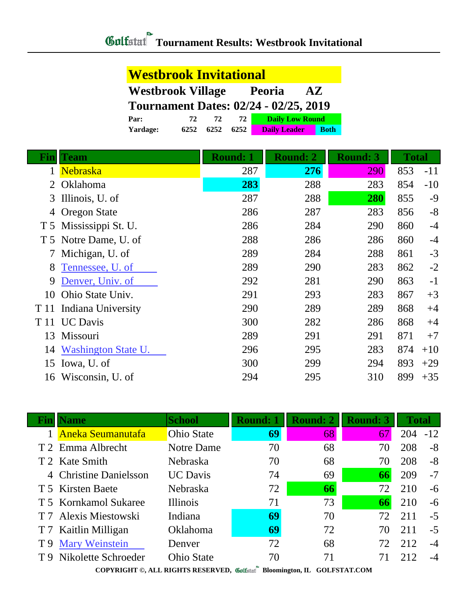| <b>Westbrook Invitational</b>                                        |      |      |      |                        |             |  |
|----------------------------------------------------------------------|------|------|------|------------------------|-------------|--|
| <b>Westbrook Village</b><br><b>Peoria</b><br>$\mathbf{A} \mathbf{Z}$ |      |      |      |                        |             |  |
| <b>Tournament Dates: 02/24 - 02/25, 2019</b>                         |      |      |      |                        |             |  |
| Par:                                                                 | 72   | 72   | 72   | <b>Daily Low Round</b> |             |  |
| <b>Yardage:</b>                                                      | 6252 | 6252 | 6252 | <b>Daily Leader</b>    | <b>Both</b> |  |

| Finl | <b>Team</b>                | <b>Round: 1</b> | <b>Round: 2</b> | <b>Round: 3</b> | <b>Total</b> |       |
|------|----------------------------|-----------------|-----------------|-----------------|--------------|-------|
|      | <b>Nebraska</b>            | 287             | 276             | 290             | 853          | $-11$ |
| 2    | Oklahoma                   | 283             | 288             | 283             | 854          | $-10$ |
| 3    | Illinois, U. of            | 287             | 288             | 280             | 855          | $-9$  |
| 4    | <b>Oregon State</b>        | 286             | 287             | 283             | 856          | $-8$  |
|      | T 5 Mississippi St. U.     | 286             | 284             | 290             | 860          | $-4$  |
|      | T 5 Notre Dame, U. of      | 288             | 286             | 286             | 860          | $-4$  |
|      | Michigan, U. of            | 289             | 284             | 288             | 861          | $-3$  |
| 8    | Tennessee, U. of           | 289             | 290             | 283             | 862          | $-2$  |
| 9    | Denver, Univ. of           | 292             | 281             | 290             | 863          | $-1$  |
| 10   | Ohio State Univ.           | 291             | 293             | 283             | 867          | $+3$  |
| T 11 | Indiana University         | 290             | 289             | 289             | 868          | $+4$  |
| T 11 | <b>UC Davis</b>            | 300             | 282             | 286             | 868          | $+4$  |
| 13   | Missouri                   | 289             | 291             | 291             | 871          | $+7$  |
| 14   | <b>Washington State U.</b> | 296             | 295             | 283             | 874          | $+10$ |
| 15   | Iowa, U. of                | 300             | 299             | 294             | 893          | $+29$ |
| 16   | Wisconsin, U. of           | 294             | 295             | 310             | 899          | $+35$ |

| Finl | <b>Name</b>              | <b>School</b>     | <b>Round: 1</b> | <b>Round: 2</b> | <b>Round: 3</b> | <b>Total</b> |       |
|------|--------------------------|-------------------|-----------------|-----------------|-----------------|--------------|-------|
|      | <b>Aneka Seumanutafa</b> | <b>Ohio State</b> | 69              | 68              | 67              | 204          | $-12$ |
|      | T 2 Emma Albrecht        | Notre Dame        | 70              | 68              | 70              | 208          | $-8$  |
|      | T 2 Kate Smith           | Nebraska          | 70              | 68              | 70              | 208          | $-8$  |
|      | 4 Christine Danielsson   | <b>UC</b> Davis   | 74              | 69              | 66              | 209          | $-7$  |
|      | T 5 Kirsten Baete        | Nebraska          | 72              | 66              | 72              | 210          | $-6$  |
|      | T 5 Kornkamol Sukaree    | <b>Illinois</b>   | 71              | 73              | 66              | 210          | $-6$  |
|      | T 7 Alexis Miestowski    | Indiana           | 69              | 70              | 72              | 211          | $-5$  |
|      | T 7 Kaitlin Milligan     | <b>Oklahoma</b>   | 69              | 72              | 70              | 211          | $-5$  |
| T 9  | <b>Mary Weinstein</b>    | Denver            | 72              | 68              | 72              | 212          | $-4$  |
|      | T 9 Nikolette Schroeder  | <b>Ohio State</b> | 70              | 71              | 71              | 212          | $-4$  |
|      |                          |                   |                 |                 |                 |              |       |

Г

**COPYRIGHT ©, ALL RIGHTS RESERVED, Bloomington, IL GOLFSTAT.COM**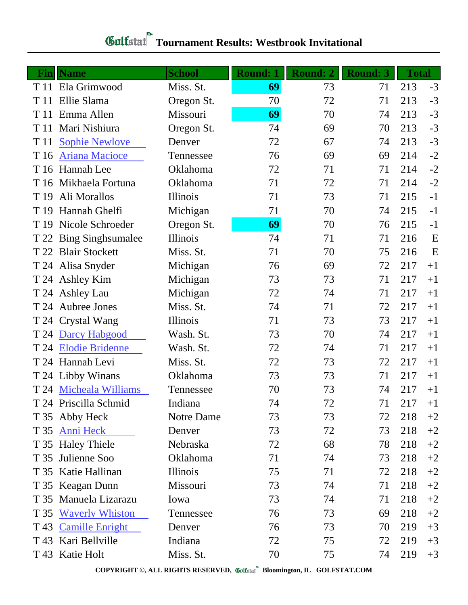| Finll | <b>Name</b>             | <b>School</b> | <b>Round: 1</b> | <b>Round: 2</b> | <b>Round: 3</b> | Total |      |
|-------|-------------------------|---------------|-----------------|-----------------|-----------------|-------|------|
|       | T 11 Ela Grimwood       | Miss. St.     | 69              | 73              | 71              | 213   | $-3$ |
| T 11  | Ellie Slama             | Oregon St.    | 70              | 72              | 71              | 213   | $-3$ |
| T 11  | Emma Allen              | Missouri      | 69              | 70              | 74              | 213   | $-3$ |
| T 11  | Mari Nishiura           | Oregon St.    | 74              | 69              | 70              | 213   | $-3$ |
| T 11  | <b>Sophie Newlove</b>   | Denver        | 72              | 67              | 74              | 213   | $-3$ |
| T 16  | <b>Ariana Macioce</b>   | Tennessee     | 76              | 69              | 69              | 214   | $-2$ |
|       | T 16 Hannah Lee         | Oklahoma      | 72              | 71              | 71              | 214   | $-2$ |
|       | T 16 Mikhaela Fortuna   | Oklahoma      | 71              | 72              | 71              | 214   | $-2$ |
| T 19  | Ali Morallos            | Illinois      | 71              | 73              | 71              | 215   | $-1$ |
| T 19  | Hannah Ghelfi           | Michigan      | 71              | 70              | 74              | 215   | $-1$ |
| T 19  | Nicole Schroeder        | Oregon St.    | 69              | 70              | 76              | 215   | $-1$ |
|       | T 22 Bing Singh sumalee | Illinois      | 74              | 71              | 71              | 216   | E    |
| T 22  | <b>Blair Stockett</b>   | Miss. St.     | 71              | 70              | 75              | 216   | E    |
|       | T 24 Alisa Snyder       | Michigan      | 76              | 69              | 72              | 217   | $+1$ |
|       | T 24 Ashley Kim         | Michigan      | 73              | 73              | 71              | 217   | $+1$ |
|       | T 24 Ashley Lau         | Michigan      | 72              | 74              | 71              | 217   | $+1$ |
|       | T 24 Aubree Jones       | Miss. St.     | 74              | 71              | 72              | 217   | $+1$ |
|       | T 24 Crystal Wang       | Illinois      | 71              | 73              | 73              | 217   | $+1$ |
|       | T 24 Darcy Habgood      | Wash. St.     | 73              | 70              | 74              | 217   | $+1$ |
|       | T 24 Elodie Bridenne    | Wash. St.     | 72              | 74              | 71              | 217   | $+1$ |
|       | T 24 Hannah Levi        | Miss. St.     | 72              | 73              | 72              | 217   | $+1$ |
|       | T 24 Libby Winans       | Oklahoma      | 73              | 73              | 71              | 217   | $+1$ |
|       | T 24 Micheala Williams  | Tennessee     | 70              | 73              | 74              | 217   | $+1$ |
|       | T 24 Priscilla Schmid   | Indiana       | 74              | 72              | 71              | 217   | $+1$ |
|       | T 35 Abby Heck          | Notre Dame    | 73              | 73              | 72              | 218   | $+2$ |
| T 35  | <b>Anni Heck</b>        | Denver        | 73              | 72              | 73              | 218   | $+2$ |
|       | T 35 Haley Thiele       | Nebraska      | 72              | 68              | 78              | 218   | $+2$ |
| T 35  | Julienne Soo            | Oklahoma      | 71              | 74              | 73              | 218   | $+2$ |
|       | T 35 Katie Hallinan     | Illinois      | 75              | 71              | 72              | 218   | $+2$ |
|       | T 35 Keagan Dunn        | Missouri      | 73              | 74              | 71              | 218   | $+2$ |
|       | T 35 Manuela Lizarazu   | Iowa          | 73              | 74              | 71              | 218   | $+2$ |
| T 35  | <b>Waverly Whiston</b>  | Tennessee     | 76              | 73              | 69              | 218   | $+2$ |
| T 43  | <b>Camille Enright</b>  | Denver        | 76              | 73              | 70              | 219   | $+3$ |
| T 43  | Kari Bellville          | Indiana       | 72              | 75              | 72              | 219   | $+3$ |
|       | T 43 Katie Holt         | Miss. St.     | 70              | 75              | 74              | 219   | $+3$ |

**COPYRIGHT ©, ALL RIGHTS RESERVED, Bloomington, IL GOLFSTAT.COM**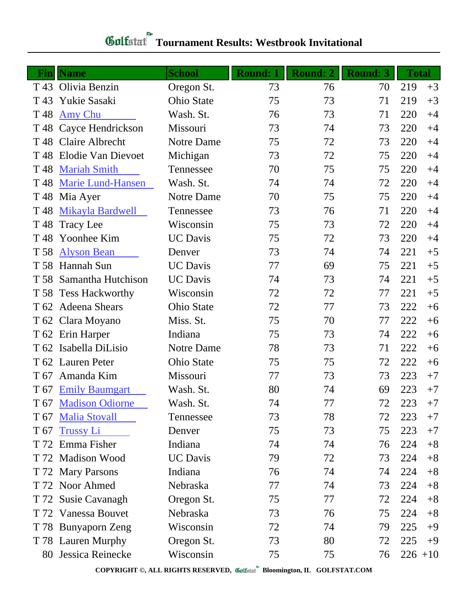## **Tournament Results: Westbrook Invitational**

| Finll           | <b>Name</b>               | <b>School</b>     | <b>Round: 1</b> | <b>Round: 2</b> | <b>Round: 3</b> | <b>Total</b> |      |
|-----------------|---------------------------|-------------------|-----------------|-----------------|-----------------|--------------|------|
|                 | T 43 Olivia Benzin        | Oregon St.        | 73              | 76              | 70              | 219          | $+3$ |
| T 43            | Yukie Sasaki              | <b>Ohio State</b> | 75              | 73              | 71              | 219          | $+3$ |
| T <sub>48</sub> | Amy Chu                   | Wash. St.         | 76              | 73              | 71              | 220          | $+4$ |
|                 | T 48 Cayce Hendrickson    | Missouri          | 73              | 74              | 73              | 220          | $+4$ |
|                 | T 48 Claire Albrecht      | Notre Dame        | 75              | 72              | 73              | 220          | $+4$ |
| T 48            | <b>Elodie Van Dievoet</b> | Michigan          | 73              | 72              | 75              | 220          | $+4$ |
| T <sub>48</sub> | <b>Mariah Smith</b>       | Tennessee         | 70              | 75              | 75              | 220          | $+4$ |
| T <sub>48</sub> | <b>Marie Lund-Hansen</b>  | Wash. St.         | 74              | 74              | 72              | 220          | $+4$ |
| T 48            | Mia Ayer                  | Notre Dame        | 70              | 75              | 75              | 220          | $+4$ |
| T <sub>48</sub> | Mikayla Bardwell          | Tennessee         | 73              | 76              | 71              | 220          | $+4$ |
| T 48            | <b>Tracy Lee</b>          | Wisconsin         | 75              | 73              | 72              | 220          | $+4$ |
| T <sub>48</sub> | Yoonhee Kim               | <b>UC</b> Davis   | 75              | 72              | 73              | 220          | $+4$ |
| T 58            | <b>Alyson Bean</b>        | Denver            | 73              | 74              | 74              | 221          | $+5$ |
| T 58            | Hannah Sun                | <b>UC</b> Davis   | 77              | 69              | 75              | 221          | $+5$ |
| T 58            | Samantha Hutchison        | <b>UC</b> Davis   | 74              | 73              | 74              | 221          | $+5$ |
| T 58            | <b>Tess Hackworthy</b>    | Wisconsin         | 72              | 72              | 77              | 221          | $+5$ |
|                 | T 62 Adeena Shears        | <b>Ohio State</b> | 72              | 77              | 73              | 222          | $+6$ |
|                 | T 62 Clara Moyano         | Miss. St.         | 75              | 70              | 77              | 222          | $+6$ |
|                 | T 62 Erin Harper          | Indiana           | 75              | 73              | 74              | 222          | $+6$ |
| T 62            | Isabella DiLisio          | Notre Dame        | 78              | 73              | 71              | 222          | $+6$ |
|                 | T 62 Lauren Peter         | Ohio State        | 75              | 75              | 72              | 222          | $+6$ |
| T 67            | Amanda Kim                | Missouri          | 77              | 73              | 73              | 223          | $+7$ |
|                 | T 67 Emily Baumgart       | Wash. St.         | 80              | 74              | 69              | 223          | $+7$ |
|                 | T 67 Madison Odiorne      | Wash. St.         | 74              | 77              | 72              | 223          | $+7$ |
| T 67            | <b>Malia Stovall</b>      | Tennessee         | 73              | 78              | 72              | 223          | $+7$ |
| T 67            | <b>Trussy Li</b>          | Denver            | 75              | 73              | 75              | 223          | $+7$ |
| T 72            | Emma Fisher               | Indiana           | 74              | 74              | 76              | 224          | $+8$ |
|                 | T 72 Madison Wood         | <b>UC</b> Davis   | 79              | 72              | 73              | 224          | $+8$ |
|                 | T 72 Mary Parsons         | Indiana           | 76              | 74              | 74              | 224          | $+8$ |
|                 | T 72 Noor Ahmed           | Nebraska          | 77              | 74              | 73              | 224          | $+8$ |
| T 72            | <b>Susie Cavanagh</b>     | Oregon St.        | 75              | 77              | 72              | 224          | $+8$ |
|                 | T 72 Vanessa Bouvet       | Nebraska          | 73              | 76              | 75              | 224          | $+8$ |
|                 | T 78 Bunyaporn Zeng       | Wisconsin         | 72              | 74              | 79              | 225          | $+9$ |
|                 | T 78 Lauren Murphy        | Oregon St.        | 73              | 80              | 72              | 225          | $+9$ |
| 80              | Jessica Reinecke          | Wisconsin         | 75              | 75              | 76              | $226 + 10$   |      |